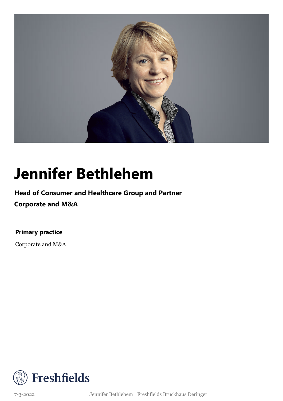

### **Jennifer Bethlehem**

### **Head of Consumer and Healthcare Group and Partner**

**Corporate and M&A**

**Primary practice**

Corporate and M&A



7-3-2022 Jennifer Bethlehem | Freshfields Bruckhaus Deringer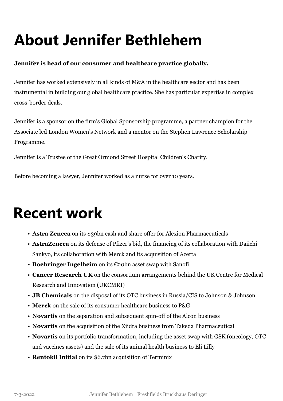# **About Jennifer Bethlehem**

#### **Jennifer is head of our consumer and healthcare practice globally.**

Jennifer has worked extensively in all kinds of M&A in the healthcare sector and has been instrumental in building our global healthcare practice. She has particular expertise in complex cross-border deals.

Jennifer is a sponsor on the firm's Global Sponsorship programme, a partner champion for the Associate led London Women's Network and a mentor on the Stephen Lawrence Scholarship Programme.

Jennifer is a Trustee of the Great Ormond Street Hospital Children's Charity.

Before becoming a lawyer, Jennifer worked as a nurse for over 10 years.

### **Recent work**

- **Astra Zeneca** on its \$39bn cash and share offer for Alexion Pharmaceuticals
- **AstraZeneca** on its defense of Pfizer's bid, the financing of its collaboration with Daiichi Sankyo, its collaboration with Merck and its acquisition of Acerta
- **Boehringer Ingelheim** on its €20bn asset swap with Sanofi
- **Cancer Research UK** on the consortium arrangements behind the UK Centre for Medical Research and Innovation (UKCMRI)
- **JB Chemicals** on the disposal of its OTC business in Russia/CIS to Johnson & Johnson
- **Merck** on the sale of its consumer healthcare business to P&G
- **Novartis** on the separation and subsequent spin-off of the Alcon business
- **Novartis** on the acquisition of the Xiidra business from Takeda Pharmaceutical
- **Novartis** on its portfolio transformation, including the asset swap with GSK (oncology, OTC and vaccines assets) and the sale of its animal health business to Eli Lilly
- **Rentokil Initial** on its \$6.7bn acquisition of Terminix